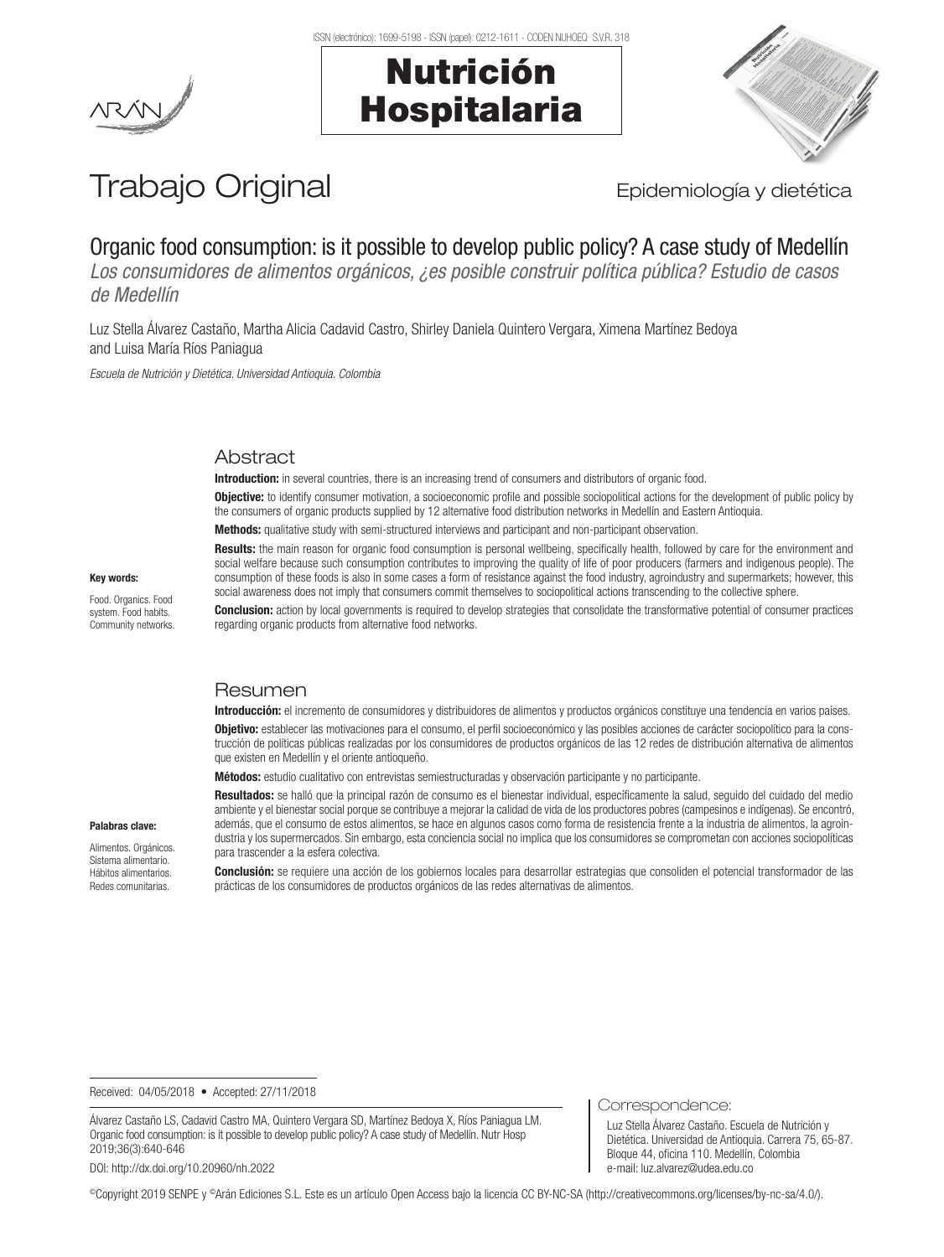Nutrición

Hospitalaria





# Trabajo Original **Epidemiología y dietética**

# Organic food consumption: is it possible to develop public policy? A case study of Medellín

*Los consumidores de alimentos orgánicos, ¿es posible construir política pública? Estudio de casos de Medellín*

Luz Stella Álvarez Castaño, Martha Alicia Cadavid Castro, Shirley Daniela Quintero Vergara, Ximena Martínez Bedoya and Luisa María Ríos Paniagua

*Escuela de Nutrición y Dietética. Universidad Antioquia. Colombia*

# **Abstract**

Introduction: in several countries, there is an increasing trend of consumers and distributors of organic food.

**Objective:** to identify consumer motivation, a socioeconomic profile and possible sociopolitical actions for the development of public policy by the consumers of organic products supplied by 12 alternative food distribution networks in Medellín and Eastern Antioquia.

Methods: qualitative study with semi-structured interviews and participant and non-participant observation.

Results: the main reason for organic food consumption is personal wellbeing, specifically health, followed by care for the environment and social welfare because such consumption contributes to improving the quality of life of poor producers (farmers and indigenous people). The consumption of these foods is also in some cases a form of resistance against the food industry, agroindustry and supermarkets; however, this social awareness does not imply that consumers commit themselves to sociopolitical actions transcending to the collective sphere.

**Conclusion:** action by local governments is required to develop strategies that consolidate the transformative potential of consumer practices regarding organic products from alternative food networks.

#### **Resumen**

Introducción: el incremento de consumidores y distribuidores de alimentos y productos orgánicos constituye una tendencia en varios países. **Objetivo:** establecer las motivaciones para el consumo, el perfil socioeconómico y las posibles acciones de carácter sociopolítico para la construcción de políticas públicas realizadas por los consumidores de productos orgánicos de las 12 redes de distribución alternativa de alimentos que existen en Medellín y el oriente antioqueño.

Métodos: estudio cualitativo con entrevistas semiestructuradas y observación participante y no participante.

Resultados: se halló que la principal razón de consumo es el bienestar individual, específicamente la salud, seguido del cuidado del medio ambiente y el bienestar social porque se contribuye a mejorar la calidad de vida de los productores pobres (campesinos e indígenas). Se encontró, además, que el consumo de estos alimentos, se hace en algunos casos como forma de resistencia frente a la industria de alimentos, la agroindustria y los supermercados. Sin embargo, esta conciencia social no implica que los consumidores se comprometan con acciones sociopolíticas para trascender a la esfera colectiva.

Palabras clave:

Key words: Food. Organics. Food system. Food habits. Community networks.

Alimentos. Orgánicos. Sistema alimentario. Hábitos alimentarios. Redes comunitarias.

Conclusión: se requiere una acción de los gobiernos locales para desarrollar estrategias que consoliden el potencial transformador de las prácticas de los consumidores de productos orgánicos de las redes alternativas de alimentos.

Received: 04/05/2018 • Accepted: 27/11/2018

Álvarez Castaño LS, Cadavid Castro MA, Quintero Vergara SD, Martínez Bedoya X, Ríos Paniagua LM. Organic food consumption: is it possible to develop public policy? A case study of Medellín. Nutr Hosp 2019;36(3):640-646

DOI: http://dx.doi.org/10.20960/nh.2022

#### Correspondence:

Luz Stella Álvarez Castaño. Escuela de Nutrición y Dietética. Universidad de Antioquia. Carrera 75, 65-87. Bloque 44, oficina 110. Medellín, Colombia e-mail: luz.alvarez@udea.edu.co

©Copyright 2019 SENPE y ©Arán Ediciones S.L. Este es un artículo Open Access bajo la licencia CC BY-NC-SA (http://creativecommons.org/licenses/by-nc-sa/4.0/).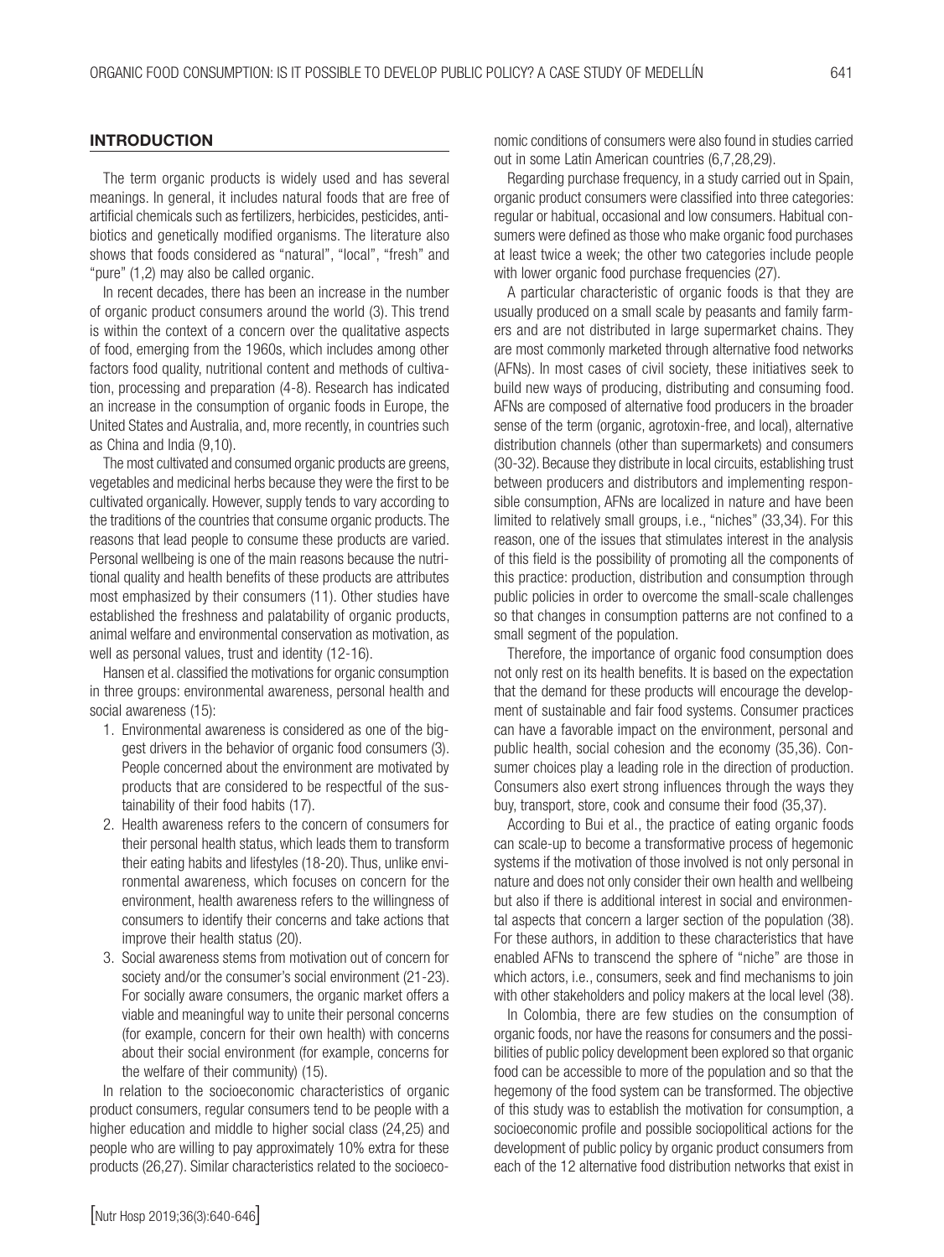#### **INTRODUCTION**

The term organic products is widely used and has several meanings. In general, it includes natural foods that are free of artificial chemicals such as fertilizers, herbicides, pesticides, antibiotics and genetically modified organisms. The literature also shows that foods considered as "natural", "local", "fresh" and "pure" (1,2) may also be called organic.

In recent decades, there has been an increase in the number of organic product consumers around the world (3). This trend is within the context of a concern over the qualitative aspects of food, emerging from the 1960s, which includes among other factors food quality, nutritional content and methods of cultivation, processing and preparation (4-8). Research has indicated an increase in the consumption of organic foods in Europe, the United States and Australia, and, more recently, in countries such as China and India (9,10).

The most cultivated and consumed organic products are greens, vegetables and medicinal herbs because they were the first to be cultivated organically. However, supply tends to vary according to the traditions of the countries that consume organic products. The reasons that lead people to consume these products are varied. Personal wellbeing is one of the main reasons because the nutritional quality and health benefits of these products are attributes most emphasized by their consumers (11). Other studies have established the freshness and palatability of organic products, animal welfare and environmental conservation as motivation, as well as personal values, trust and identity (12-16).

Hansen et al. classified the motivations for organic consumption in three groups: environmental awareness, personal health and social awareness (15):

- 1. Environmental awareness is considered as one of the biggest drivers in the behavior of organic food consumers (3). People concerned about the environment are motivated by products that are considered to be respectful of the sustainability of their food habits (17).
- 2. Health awareness refers to the concern of consumers for their personal health status, which leads them to transform their eating habits and lifestyles (18-20). Thus, unlike environmental awareness, which focuses on concern for the environment, health awareness refers to the willingness of consumers to identify their concerns and take actions that improve their health status (20).
- 3. Social awareness stems from motivation out of concern for society and/or the consumer's social environment (21-23). For socially aware consumers, the organic market offers a viable and meaningful way to unite their personal concerns (for example, concern for their own health) with concerns about their social environment (for example, concerns for the welfare of their community) (15).

In relation to the socioeconomic characteristics of organic product consumers, regular consumers tend to be people with a higher education and middle to higher social class (24,25) and people who are willing to pay approximately 10% extra for these products (26,27). Similar characteristics related to the socioeco-

Regarding purchase frequency, in a study carried out in Spain, organic product consumers were classified into three categories: regular or habitual, occasional and low consumers. Habitual consumers were defined as those who make organic food purchases at least twice a week; the other two categories include people with lower organic food purchase frequencies (27).

A particular characteristic of organic foods is that they are usually produced on a small scale by peasants and family farmers and are not distributed in large supermarket chains. They are most commonly marketed through alternative food networks (AFNs). In most cases of civil society, these initiatives seek to build new ways of producing, distributing and consuming food. AFNs are composed of alternative food producers in the broader sense of the term (organic, agrotoxin-free, and local), alternative distribution channels (other than supermarkets) and consumers (30-32). Because they distribute in local circuits, establishing trust between producers and distributors and implementing responsible consumption, AFNs are localized in nature and have been limited to relatively small groups, i.e., "niches" (33,34). For this reason, one of the issues that stimulates interest in the analysis of this field is the possibility of promoting all the components of this practice: production, distribution and consumption through public policies in order to overcome the small-scale challenges so that changes in consumption patterns are not confined to a small segment of the population.

Therefore, the importance of organic food consumption does not only rest on its health benefits. It is based on the expectation that the demand for these products will encourage the development of sustainable and fair food systems. Consumer practices can have a favorable impact on the environment, personal and public health, social cohesion and the economy (35,36). Consumer choices play a leading role in the direction of production. Consumers also exert strong influences through the ways they buy, transport, store, cook and consume their food (35,37).

According to Bui et al., the practice of eating organic foods can scale-up to become a transformative process of hegemonic systems if the motivation of those involved is not only personal in nature and does not only consider their own health and wellbeing but also if there is additional interest in social and environmental aspects that concern a larger section of the population (38). For these authors, in addition to these characteristics that have enabled AFNs to transcend the sphere of "niche" are those in which actors, i.e., consumers, seek and find mechanisms to join with other stakeholders and policy makers at the local level (38).

In Colombia, there are few studies on the consumption of organic foods, nor have the reasons for consumers and the possibilities of public policy development been explored so that organic food can be accessible to more of the population and so that the hegemony of the food system can be transformed. The objective of this study was to establish the motivation for consumption, a socioeconomic profile and possible sociopolitical actions for the development of public policy by organic product consumers from each of the 12 alternative food distribution networks that exist in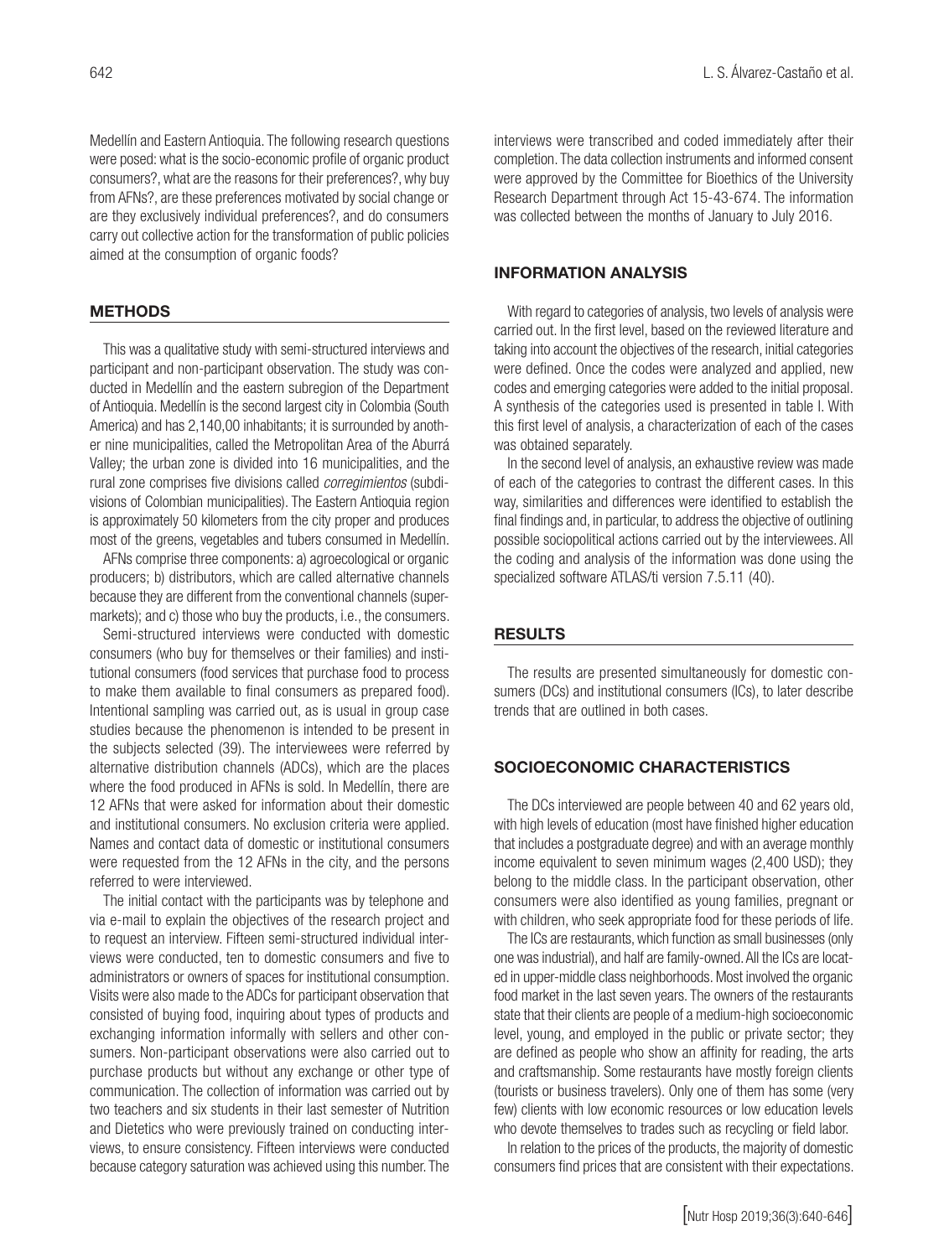Medellín and Eastern Antioquia. The following research questions were posed: what is the socio-economic profile of organic product consumers?, what are the reasons for their preferences?, why buy from AFNs?, are these preferences motivated by social change or are they exclusively individual preferences?, and do consumers carry out collective action for the transformation of public policies aimed at the consumption of organic foods?

#### **METHODS**

This was a qualitative study with semi-structured interviews and participant and non-participant observation. The study was conducted in Medellín and the eastern subregion of the Department of Antioquia. Medellín is the second largest city in Colombia (South America) and has 2,140,00 inhabitants; it is surrounded by another nine municipalities, called the Metropolitan Area of the Aburrá Valley; the urban zone is divided into 16 municipalities, and the rural zone comprises five divisions called *corregimientos* (subdivisions of Colombian municipalities). The Eastern Antioquia region is approximately 50 kilometers from the city proper and produces most of the greens, vegetables and tubers consumed in Medellín.

AFNs comprise three components: a) agroecological or organic producers; b) distributors, which are called alternative channels because they are different from the conventional channels (supermarkets); and c) those who buy the products, i.e., the consumers.

Semi-structured interviews were conducted with domestic consumers (who buy for themselves or their families) and institutional consumers (food services that purchase food to process to make them available to final consumers as prepared food). Intentional sampling was carried out, as is usual in group case studies because the phenomenon is intended to be present in the subjects selected (39). The interviewees were referred by alternative distribution channels (ADCs), which are the places where the food produced in AFNs is sold. In Medellín, there are 12 AFNs that were asked for information about their domestic and institutional consumers. No exclusion criteria were applied. Names and contact data of domestic or institutional consumers were requested from the 12 AFNs in the city, and the persons referred to were interviewed.

The initial contact with the participants was by telephone and via e-mail to explain the objectives of the research project and to request an interview. Fifteen semi-structured individual interviews were conducted, ten to domestic consumers and five to administrators or owners of spaces for institutional consumption. Visits were also made to the ADCs for participant observation that consisted of buying food, inquiring about types of products and exchanging information informally with sellers and other consumers. Non-participant observations were also carried out to purchase products but without any exchange or other type of communication. The collection of information was carried out by two teachers and six students in their last semester of Nutrition and Dietetics who were previously trained on conducting interviews, to ensure consistency. Fifteen interviews were conducted because category saturation was achieved using this number. The

interviews were transcribed and coded immediately after their completion. The data collection instruments and informed consent were approved by the Committee for Bioethics of the University Research Department through Act 15-43-674. The information was collected between the months of January to July 2016.

#### INFORMATION ANALYSIS

With regard to categories of analysis, two levels of analysis were carried out. In the first level, based on the reviewed literature and taking into account the objectives of the research, initial categories were defined. Once the codes were analyzed and applied, new codes and emerging categories were added to the initial proposal. A synthesis of the categories used is presented in table I. With this first level of analysis, a characterization of each of the cases was obtained separately.

In the second level of analysis, an exhaustive review was made of each of the categories to contrast the different cases. In this way, similarities and differences were identified to establish the final findings and, in particular, to address the objective of outlining possible sociopolitical actions carried out by the interviewees. All the coding and analysis of the information was done using the specialized software ATLAS/ti version 7.5.11 (40).

#### **RESULTS**

The results are presented simultaneously for domestic consumers (DCs) and institutional consumers (ICs), to later describe trends that are outlined in both cases.

#### SOCIOECONOMIC CHARACTERISTICS

The DCs interviewed are people between 40 and 62 years old, with high levels of education (most have finished higher education that includes a postgraduate degree) and with an average monthly income equivalent to seven minimum wages (2,400 USD); they belong to the middle class. In the participant observation, other consumers were also identified as young families, pregnant or with children, who seek appropriate food for these periods of life.

The ICs are restaurants, which function as small businesses (only one was industrial), and half are family-owned. All the ICs are located in upper-middle class neighborhoods. Most involved the organic food market in the last seven years. The owners of the restaurants state that their clients are people of a medium-high socioeconomic level, young, and employed in the public or private sector; they are defined as people who show an affinity for reading, the arts and craftsmanship. Some restaurants have mostly foreign clients (tourists or business travelers). Only one of them has some (very few) clients with low economic resources or low education levels who devote themselves to trades such as recycling or field labor.

In relation to the prices of the products, the majority of domestic consumers find prices that are consistent with their expectations.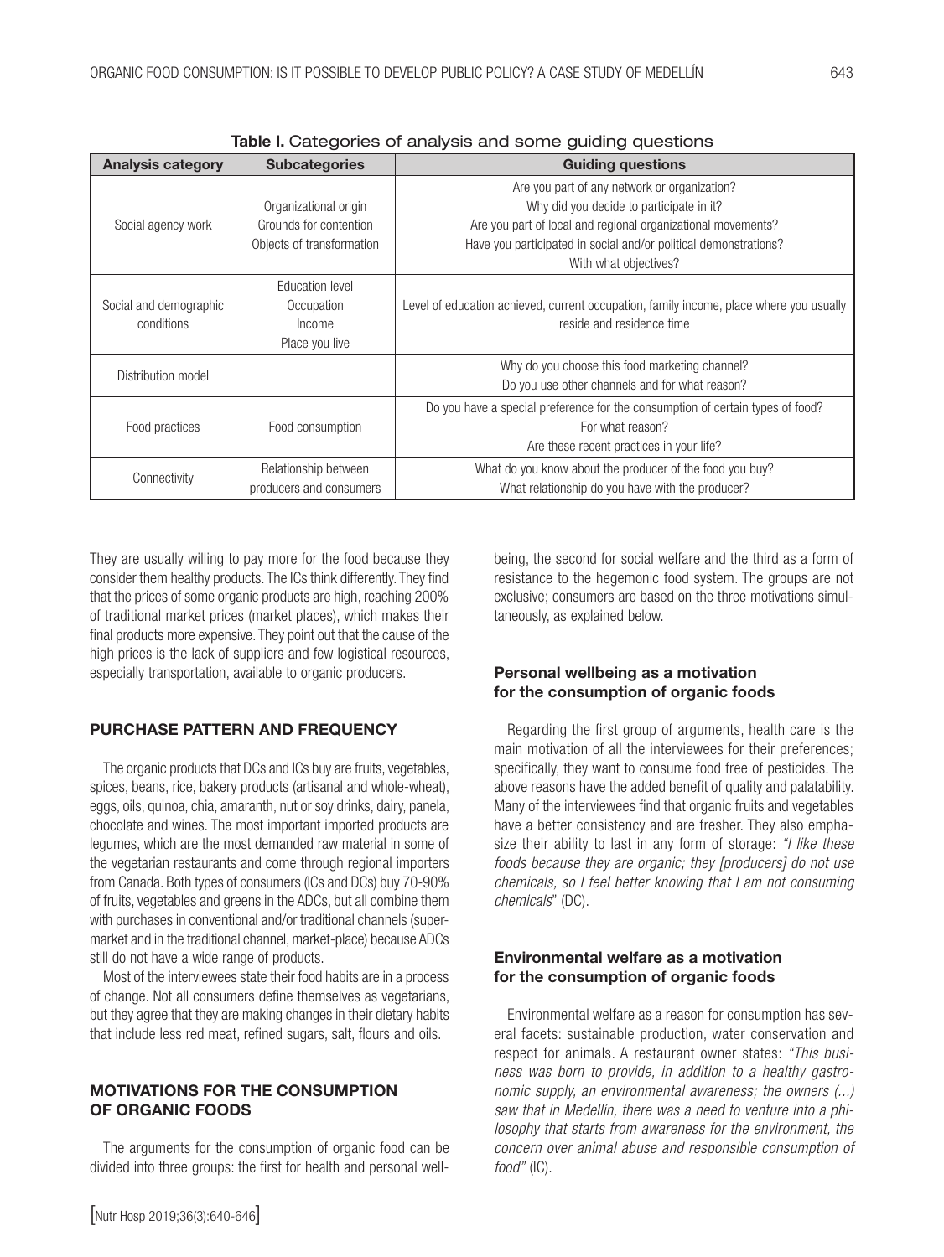| <b>Analysis category</b>             | <b>Subcategories</b>                                                         | <b>Guiding questions</b>                                                                                                                                                                                                                              |
|--------------------------------------|------------------------------------------------------------------------------|-------------------------------------------------------------------------------------------------------------------------------------------------------------------------------------------------------------------------------------------------------|
| Social agency work                   | Organizational origin<br>Grounds for contention<br>Objects of transformation | Are you part of any network or organization?<br>Why did you decide to participate in it?<br>Are you part of local and regional organizational movements?<br>Have you participated in social and/or political demonstrations?<br>With what objectives? |
| Social and demographic<br>conditions | Education level<br>Occupation<br>Income<br>Place you live                    | Level of education achieved, current occupation, family income, place where you usually<br>reside and residence time                                                                                                                                  |
| Distribution model                   |                                                                              | Why do you choose this food marketing channel?<br>Do you use other channels and for what reason?                                                                                                                                                      |
| Food practices                       | Food consumption                                                             | Do you have a special preference for the consumption of certain types of food?<br>For what reason?<br>Are these recent practices in your life?                                                                                                        |
| Connectivity                         | Relationship between<br>producers and consumers                              | What do you know about the producer of the food you buy?<br>What relationship do you have with the producer?                                                                                                                                          |

Table I. Categories of analysis and some quiding questions

They are usually willing to pay more for the food because they consider them healthy products. The ICs think differently. They find that the prices of some organic products are high, reaching 200% of traditional market prices (market places), which makes their final products more expensive. They point out that the cause of the high prices is the lack of suppliers and few logistical resources, especially transportation, available to organic producers.

# PURCHASE PATTERN AND FREQUENCY

The organic products that DCs and ICs buy are fruits, vegetables, spices, beans, rice, bakery products (artisanal and whole-wheat), eggs, oils, quinoa, chia, amaranth, nut or soy drinks, dairy, panela, chocolate and wines. The most important imported products are legumes, which are the most demanded raw material in some of the vegetarian restaurants and come through regional importers from Canada. Both types of consumers (ICs and DCs) buy 70-90% of fruits, vegetables and greens in the ADCs, but all combine them with purchases in conventional and/or traditional channels (supermarket and in the traditional channel, market-place) because ADCs still do not have a wide range of products.

Most of the interviewees state their food habits are in a process of change. Not all consumers define themselves as vegetarians, but they agree that they are making changes in their dietary habits that include less red meat, refined sugars, salt, flours and oils.

#### MOTIVATIONS FOR THE CONSUMPTION OF ORGANIC FOODS

The arguments for the consumption of organic food can be divided into three groups: the first for health and personal wellbeing, the second for social welfare and the third as a form of resistance to the hegemonic food system. The groups are not exclusive; consumers are based on the three motivations simultaneously, as explained below.

#### Personal wellbeing as a motivation for the consumption of organic foods

Regarding the first group of arguments, health care is the main motivation of all the interviewees for their preferences; specifically, they want to consume food free of pesticides. The above reasons have the added benefit of quality and palatability. Many of the interviewees find that organic fruits and vegetables have a better consistency and are fresher. They also emphasize their ability to last in any form of storage: *"I like these foods because they are organic; they [producers] do not use chemicals, so I feel better knowing that I am not consuming chemicals*" (DC).

#### Environmental welfare as a motivation for the consumption of organic foods

Environmental welfare as a reason for consumption has several facets: sustainable production, water conservation and respect for animals. A restaurant owner states: *"This business was born to provide, in addition to a healthy gastronomic supply, an environmental awareness; the owners (...) saw that in Medellín, there was a need to venture into a philosophy that starts from awareness for the environment, the concern over animal abuse and responsible consumption of food"* (IC).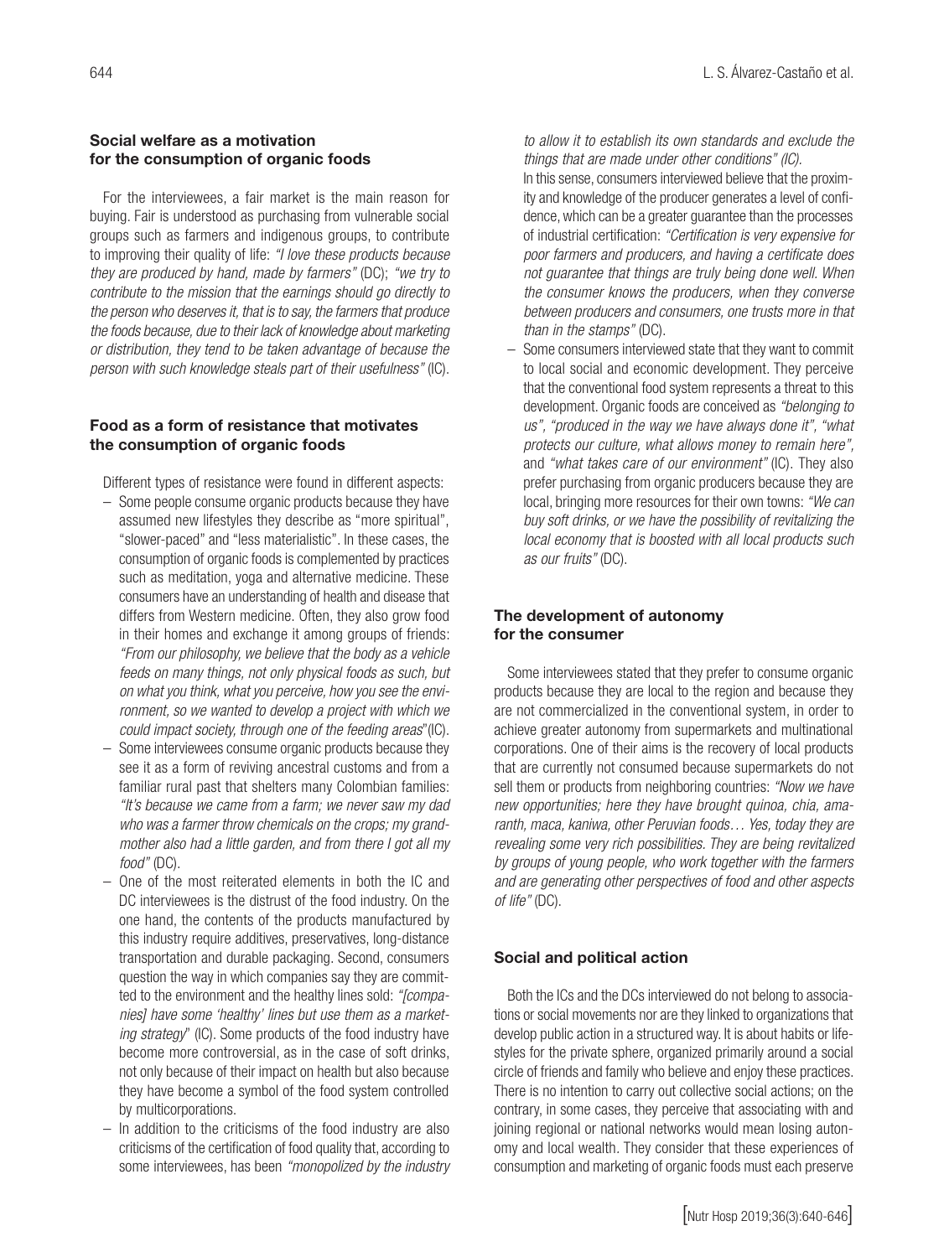### Social welfare as a motivation for the consumption of organic foods

For the interviewees, a fair market is the main reason for buying. Fair is understood as purchasing from vulnerable social groups such as farmers and indigenous groups, to contribute to improving their quality of life: *"I love these products because they are produced by hand, made by farmers"* (DC); *"we try to contribute to the mission that the earnings should go directly to the person who deserves it, that is to say, the farmers that produce the foods because, due to their lack of knowledge about marketing or distribution, they tend to be taken advantage of because the person with such knowledge steals part of their usefulness"* (IC).

## Food as a form of resistance that motivates the consumption of organic foods

Different types of resistance were found in different aspects:

- Some people consume organic products because they have assumed new lifestyles they describe as "more spiritual", "slower-paced" and "less materialistic". In these cases, the consumption of organic foods is complemented by practices such as meditation, yoga and alternative medicine. These consumers have an understanding of health and disease that differs from Western medicine. Often, they also grow food in their homes and exchange it among groups of friends: *"From our philosophy, we believe that the body as a vehicle feeds on many things, not only physical foods as such, but on what you think, what you perceive, how you see the environment, so we wanted to develop a project with which we could impact society, through one of the feeding areas*"(IC).
- Some interviewees consume organic products because they see it as a form of reviving ancestral customs and from a familiar rural past that shelters many Colombian families: *"It's because we came from a farm; we never saw my dad who was a farmer throw chemicals on the crops; my grandmother also had a little garden, and from there I got all my food"* (DC).
- One of the most reiterated elements in both the IC and DC interviewees is the distrust of the food industry. On the one hand, the contents of the products manufactured by this industry require additives, preservatives, long-distance transportation and durable packaging. Second, consumers question the way in which companies say they are committed to the environment and the healthy lines sold: *"[companies] have some 'healthy' lines but use them as a marketing strategy*" (IC). Some products of the food industry have become more controversial, as in the case of soft drinks, not only because of their impact on health but also because they have become a symbol of the food system controlled by multicorporations.
- In addition to the criticisms of the food industry are also criticisms of the certification of food quality that, according to some interviewees, has been *"monopolized by the industry*

*to allow it to establish its own standards and exclude the things that are made under other conditions" (IC).*

- In this sense, consumers interviewed believe that the proximity and knowledge of the producer generates a level of confidence, which can be a greater guarantee than the processes of industrial certification: *"Certification is very expensive for poor farmers and producers, and having a certificate does not guarantee that things are truly being done well. When the consumer knows the producers, when they converse between producers and consumers, one trusts more in that than in the stamps"* (DC).
- Some consumers interviewed state that they want to commit to local social and economic development. They perceive that the conventional food system represents a threat to this development. Organic foods are conceived as *"belonging to us", "produced in the way we have always done it", "what protects our culture, what allows money to remain here",*  and *"what takes care of our environment"* (IC). They also prefer purchasing from organic producers because they are local, bringing more resources for their own towns: *"We can buy soft drinks, or we have the possibility of revitalizing the local economy that is boosted with all local products such as our fruits"* (DC).

# The development of autonomy for the consumer

Some interviewees stated that they prefer to consume organic products because they are local to the region and because they are not commercialized in the conventional system, in order to achieve greater autonomy from supermarkets and multinational corporations. One of their aims is the recovery of local products that are currently not consumed because supermarkets do not sell them or products from neighboring countries: *"Now we have new opportunities; here they have brought quinoa, chia, amaranth, maca, kaniwa, other Peruvian foods… Yes, today they are revealing some very rich possibilities. They are being revitalized by groups of young people, who work together with the farmers and are generating other perspectives of food and other aspects of life"* (DC).

#### Social and political action

Both the ICs and the DCs interviewed do not belong to associations or social movements nor are they linked to organizations that develop public action in a structured way. It is about habits or lifestyles for the private sphere, organized primarily around a social circle of friends and family who believe and enjoy these practices. There is no intention to carry out collective social actions; on the contrary, in some cases, they perceive that associating with and joining regional or national networks would mean losing autonomy and local wealth*.* They consider that these experiences of consumption and marketing of organic foods must each preserve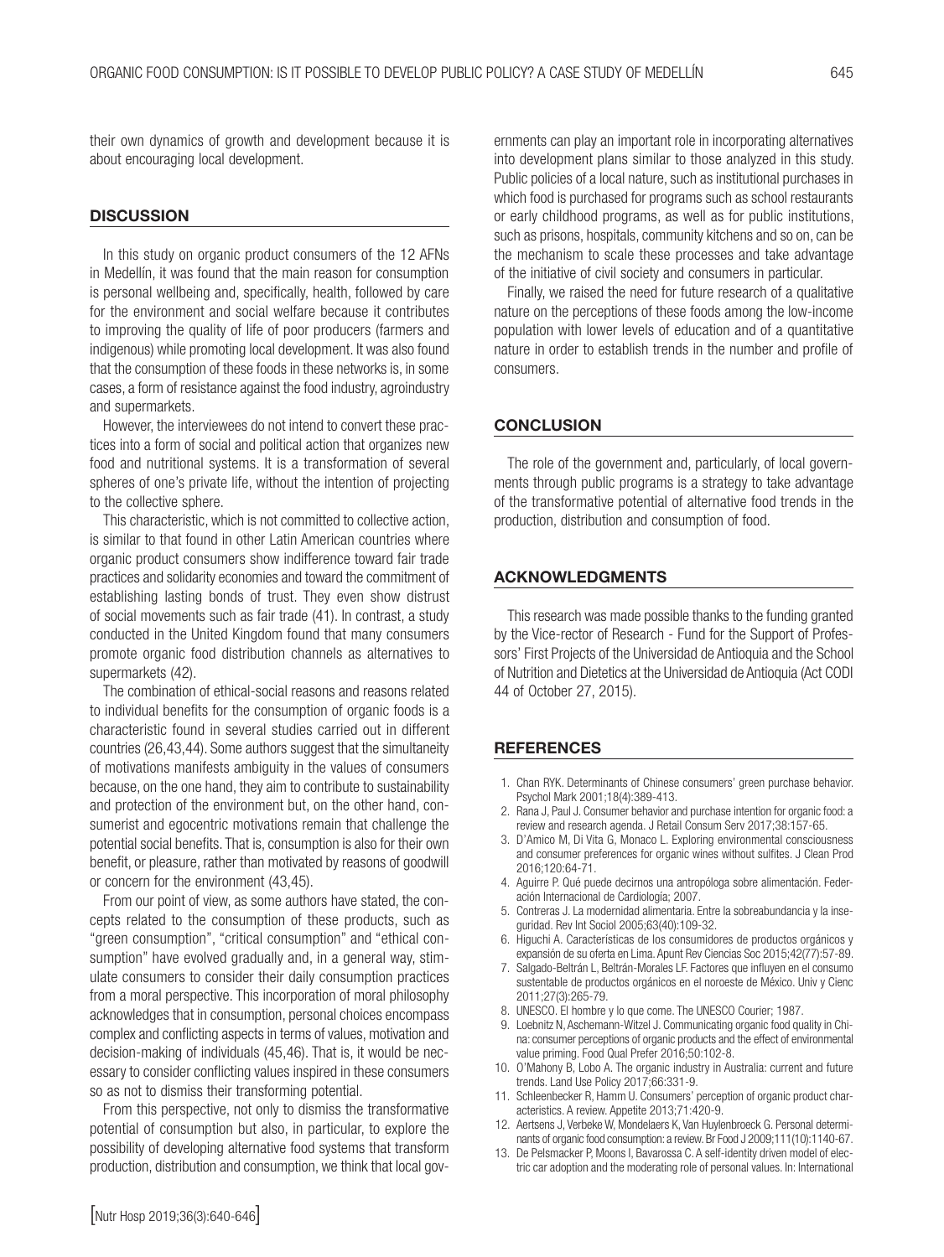their own dynamics of growth and development because it is about encouraging local development.

#### **DISCUSSION**

In this study on organic product consumers of the 12 AFNs in Medellín, it was found that the main reason for consumption is personal wellbeing and, specifically, health, followed by care for the environment and social welfare because it contributes to improving the quality of life of poor producers (farmers and indigenous) while promoting local development. It was also found that the consumption of these foods in these networks is, in some cases, a form of resistance against the food industry, agroindustry and supermarkets.

However, the interviewees do not intend to convert these practices into a form of social and political action that organizes new food and nutritional systems. It is a transformation of several spheres of one's private life, without the intention of projecting to the collective sphere.

This characteristic, which is not committed to collective action, is similar to that found in other Latin American countries where organic product consumers show indifference toward fair trade practices and solidarity economies and toward the commitment of establishing lasting bonds of trust. They even show distrust of social movements such as fair trade (41). In contrast, a study conducted in the United Kingdom found that many consumers promote organic food distribution channels as alternatives to supermarkets (42).

The combination of ethical-social reasons and reasons related to individual benefits for the consumption of organic foods is a characteristic found in several studies carried out in different countries (26,43,44). Some authors suggest that the simultaneity of motivations manifests ambiguity in the values of consumers because, on the one hand, they aim to contribute to sustainability and protection of the environment but, on the other hand, consumerist and egocentric motivations remain that challenge the potential social benefits. That is, consumption is also for their own benefit, or pleasure, rather than motivated by reasons of goodwill or concern for the environment (43,45).

From our point of view, as some authors have stated, the concepts related to the consumption of these products, such as "green consumption", "critical consumption" and "ethical consumption" have evolved gradually and, in a general way, stimulate consumers to consider their daily consumption practices from a moral perspective. This incorporation of moral philosophy acknowledges that in consumption, personal choices encompass complex and conflicting aspects in terms of values, motivation and decision-making of individuals (45,46). That is, it would be necessary to consider conflicting values inspired in these consumers so as not to dismiss their transforming potential.

From this perspective, not only to dismiss the transformative potential of consumption but also, in particular, to explore the possibility of developing alternative food systems that transform production, distribution and consumption, we think that local governments can play an important role in incorporating alternatives into development plans similar to those analyzed in this study. Public policies of a local nature, such as institutional purchases in which food is purchased for programs such as school restaurants or early childhood programs, as well as for public institutions, such as prisons, hospitals, community kitchens and so on, can be the mechanism to scale these processes and take advantage of the initiative of civil society and consumers in particular.

Finally, we raised the need for future research of a qualitative nature on the perceptions of these foods among the low-income population with lower levels of education and of a quantitative nature in order to establish trends in the number and profile of consumers.

#### **CONCLUSION**

The role of the government and, particularly, of local governments through public programs is a strategy to take advantage of the transformative potential of alternative food trends in the production, distribution and consumption of food.

#### ACKNOWLEDGMENTS

This research was made possible thanks to the funding granted by the Vice-rector of Research - Fund for the Support of Professors' First Projects of the Universidad de Antioquia and the School of Nutrition and Dietetics at the Universidad de Antioquia (Act CODI 44 of October 27, 2015).

#### **REFERENCES**

- 1. Chan RYK. Determinants of Chinese consumers' green purchase behavior. Psychol Mark 2001;18(4):389-413.
- 2. Rana J, Paul J. Consumer behavior and purchase intention for organic food: a review and research agenda. J Retail Consum Serv 2017;38:157-65.
- 3. D'Amico M, Di Vita G, Monaco L. Exploring environmental consciousness and consumer preferences for organic wines without sulfites. J Clean Prod 2016;120:64-71.
- 4. Aguirre P. Qué puede decirnos una antropóloga sobre alimentación. Federación Internacional de Cardiología; 2007.
- 5. Contreras J. La modernidad alimentaria. Entre la sobreabundancia y la inseguridad. Rev Int Sociol 2005;63(40):109-32.
- 6. Higuchi A. Características de los consumidores de productos orgánicos y expansión de su oferta en Lima. Apunt Rev Ciencias Soc 2015;42(77):57-89.
- 7. Salgado-Beltrán L, Beltrán-Morales LF. Factores que influyen en el consumo sustentable de productos orgánicos en el noroeste de México. Univ y Cienc 2011;27(3):265-79.
- 8. UNESCO. El hombre y lo que come. The UNESCO Courier; 1987.
- 9. Loebnitz N, Aschemann-Witzel J. Communicating organic food quality in China: consumer perceptions of organic products and the effect of environmental value priming. Food Qual Prefer 2016;50:102-8.
- 10. O'Mahony B, Lobo A. The organic industry in Australia: current and future trends. Land Use Policy 2017;66:331-9.
- 11. Schleenbecker R, Hamm U. Consumers' perception of organic product characteristics. A review. Appetite 2013;71:420-9.
- 12. Aertsens J, Verbeke W, Mondelaers K, Van Huylenbroeck G. Personal determinants of organic food consumption: a review. Br Food J 2009;111(10):1140-67.
- 13. De Pelsmacker P, Moons I, Bavarossa C. A self-identity driven model of electric car adoption and the moderating role of personal values. In: International